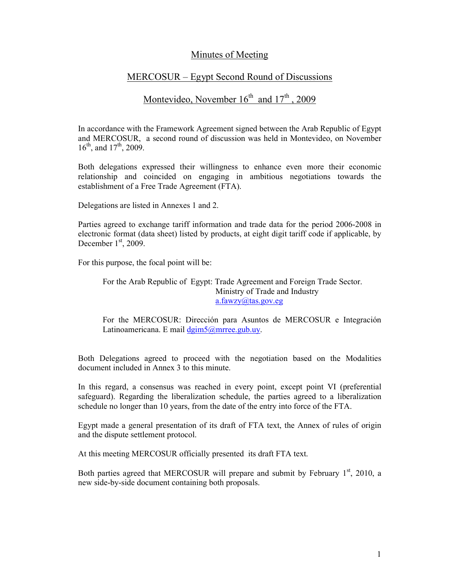## Minutes of Meeting

## MERCOSUR – Egypt Second Round of Discussions

## Montevideo, November  $16<sup>th</sup>$  and  $17<sup>th</sup>$ , 2009

In accordance with the Framework Agreement signed between the Arab Republic of Egypt and MERCOSUR, a second round of discussion was held in Montevideo, on November  $16^{th}$ , and  $17^{th}$ , 2009.

Both delegations expressed their willingness to enhance even more their economic relationship and coincided on engaging in ambitious negotiations towards the establishment of a Free Trade Agreement (FTA).

Delegations are listed in Annexes 1 and 2.

Parties agreed to exchange tariff information and trade data for the period 2006-2008 in electronic format (data sheet) listed by products, at eight digit tariff code if applicable, by December  $1<sup>st</sup>$ , 2009.

For this purpose, the focal point will be:

For the Arab Republic of Egypt: Trade Agreement and Foreign Trade Sector. Ministry of Trade and Industry a.fawzy@tas.gov.eg

For the MERCOSUR: Dirección para Asuntos de MERCOSUR e Integración Latinoamericana. E mail  $\frac{d \text{gim} 5 \text{g}}{d \text{gim} 5 \text{g}}$  where

Both Delegations agreed to proceed with the negotiation based on the Modalities document included in Annex 3 to this minute.

In this regard, a consensus was reached in every point, except point VI (preferential safeguard). Regarding the liberalization schedule, the parties agreed to a liberalization schedule no longer than 10 years, from the date of the entry into force of the FTA.

Egypt made a general presentation of its draft of FTA text, the Annex of rules of origin and the dispute settlement protocol.

At this meeting MERCOSUR officially presented its draft FTA text.

Both parties agreed that MERCOSUR will prepare and submit by February  $1<sup>st</sup>$ , 2010, a new side-by-side document containing both proposals.